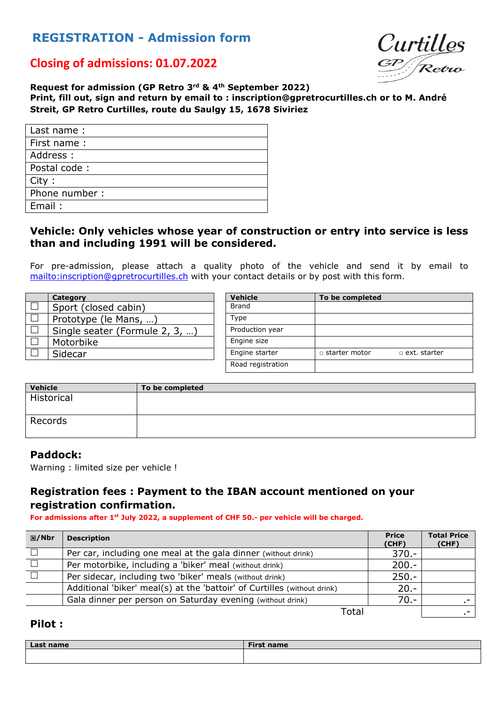# **REGISTRATION - Admission form**



## **Closing of admissions: 01.07.2022**

**Request for admission (GP Retro 3rd & 4th September 2022) Print, fill out, sign and return by email to : inscription@gpretrocurtilles.ch or to M. André Streit, GP Retro Curtilles, route du Saulgy 15, 1678 Siviriez** 

| Last name:     |
|----------------|
| First name:    |
| Address :      |
| Postal code:   |
| City:          |
| Phone number : |
| Email:         |
|                |

### **Vehicle: Only vehicles whose year of construction or entry into service is less than and including 1991 will be considered.**

For pre-admission, please attach a quality photo of the vehicle and send it by email to mailto:inscription@gpretrocurtilles.ch with your contact details or by post with this form.

|        | Category                       | <b>Vehicle</b>    | To be completed                             |
|--------|--------------------------------|-------------------|---------------------------------------------|
|        | Sport (closed cabin)           | <b>Brand</b>      |                                             |
| $\Box$ | Prototype (le Mans, )          | Type              |                                             |
|        | Single seater (Formule 2, 3, ) | Production year   |                                             |
|        | Motorbike                      | Engine size       |                                             |
|        | Sidecar                        | Engine starter    | $\Box$ starter motor<br>$\Box$ ext. starter |
|        |                                | Road registration |                                             |

| Vehicle    | To be completed |
|------------|-----------------|
| Historical |                 |
| Records    |                 |

#### **Paddock:**

Warning : limited size per vehicle !

## **Registration fees : Payment to the IBAN account mentioned on your registration confirmation.**

**For admissions after 1st July 2022, a supplement of CHF 50.- per vehicle will be charged.**

| <b>図/Nbr</b> | <b>Description</b>                                                       | <b>Price</b><br>(CHF) | <b>Total Price</b><br>(CHF) |
|--------------|--------------------------------------------------------------------------|-----------------------|-----------------------------|
|              | Per car, including one meal at the gala dinner (without drink)           | $370 -$               |                             |
|              | Per motorbike, including a 'biker' meal (without drink)                  | $200 -$               |                             |
|              | Per sidecar, including two 'biker' meals (without drink)                 | $250 -$               |                             |
|              | Additional 'biker' meal(s) at the 'battoir' of Curtilles (without drink) | $20. -$               |                             |
|              | Gala dinner per person on Saturday evening (without drink)               | $70. -$               |                             |
|              |                                                                          |                       |                             |

Total .-

## **Pilot :**

| Last<br>name<br>. | <b>First name</b> |
|-------------------|-------------------|
|                   |                   |